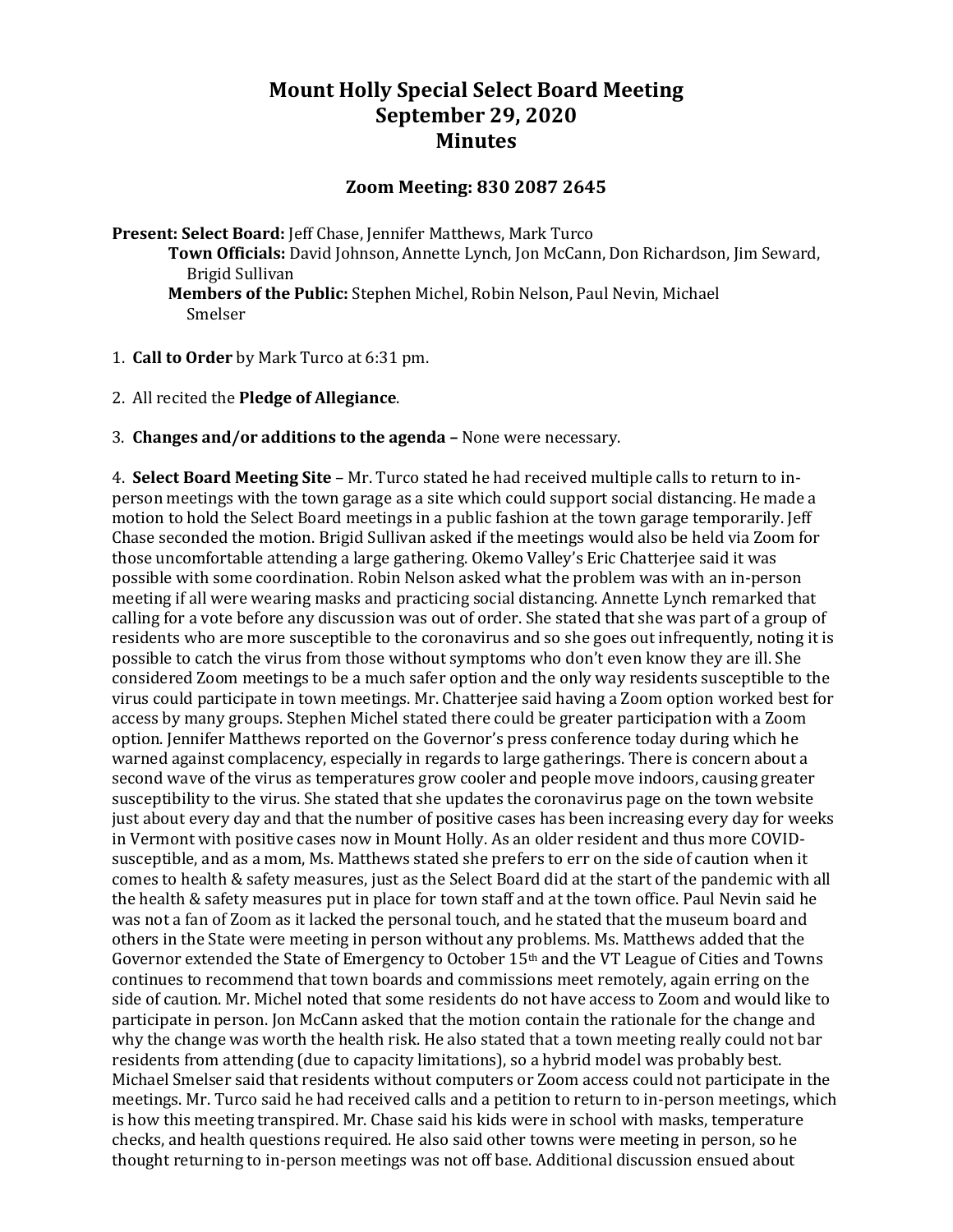## **Mount Holly Special Select Board Meeting September 29, 2020 Minutes**

## **Zoom Meeting: 830 2087 2645**

**Present: Select Board:** Jeff Chase, Jennifer Matthews, Mark Turco

**Town Officials:** David Johnson, Annette Lynch, Jon McCann, Don Richardson, Jim Seward, Brigid Sullivan

**Members of the Public:** Stephen Michel, Robin Nelson, Paul Nevin, Michael Smelser

- 1. **Call to Order** by Mark Turco at 6:31 pm.
- 2. All recited the **Pledge of Allegiance**.

3. **Changes and/or additions to the agenda –** None were necessary.

4. **Select Board Meeting Site** – Mr. Turco stated he had received multiple calls to return to inperson meetings with the town garage as a site which could support social distancing. He made a motion to hold the Select Board meetings in a public fashion at the town garage temporarily. Jeff Chase seconded the motion. Brigid Sullivan asked if the meetings would also be held via Zoom for those uncomfortable attending a large gathering. Okemo Valley's Eric Chatterjee said it was possible with some coordination. Robin Nelson asked what the problem was with an in-person meeting if all were wearing masks and practicing social distancing. Annette Lynch remarked that calling for a vote before any discussion was out of order. She stated that she was part of a group of residents who are more susceptible to the coronavirus and so she goes out infrequently, noting it is possible to catch the virus from those without symptoms who don't even know they are ill. She considered Zoom meetings to be a much safer option and the only way residents susceptible to the virus could participate in town meetings. Mr. Chatterjee said having a Zoom option worked best for access by many groups. Stephen Michel stated there could be greater participation with a Zoom option. Jennifer Matthews reported on the Governor's press conference today during which he warned against complacency, especially in regards to large gatherings. There is concern about a second wave of the virus as temperatures grow cooler and people move indoors, causing greater susceptibility to the virus. She stated that she updates the coronavirus page on the town website just about every day and that the number of positive cases has been increasing every day for weeks in Vermont with positive cases now in Mount Holly. As an older resident and thus more COVIDsusceptible, and as a mom, Ms. Matthews stated she prefers to err on the side of caution when it comes to health & safety measures, just as the Select Board did at the start of the pandemic with all the health & safety measures put in place for town staff and at the town office. Paul Nevin said he was not a fan of Zoom as it lacked the personal touch, and he stated that the museum board and others in the State were meeting in person without any problems. Ms. Matthews added that the Governor extended the State of Emergency to October 15th and the VT League of Cities and Towns continues to recommend that town boards and commissions meet remotely, again erring on the side of caution. Mr. Michel noted that some residents do not have access to Zoom and would like to participate in person. Jon McCann asked that the motion contain the rationale for the change and why the change was worth the health risk. He also stated that a town meeting really could not bar residents from attending (due to capacity limitations), so a hybrid model was probably best. Michael Smelser said that residents without computers or Zoom access could not participate in the meetings. Mr. Turco said he had received calls and a petition to return to in-person meetings, which is how this meeting transpired. Mr. Chase said his kids were in school with masks, temperature checks, and health questions required. He also said other towns were meeting in person, so he thought returning to in-person meetings was not off base. Additional discussion ensued about